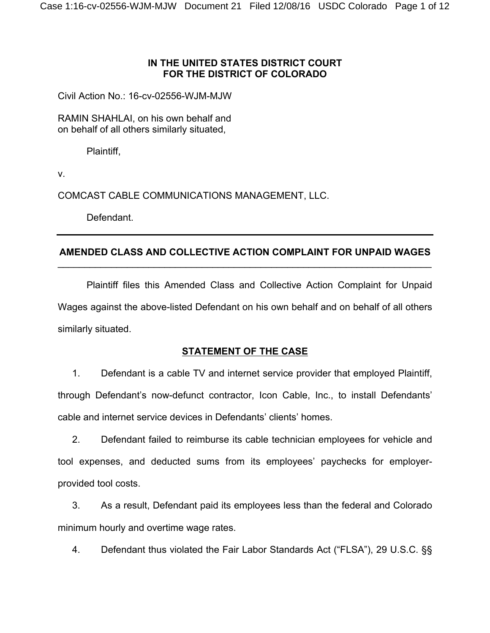# **IN THE UNITED STATES DISTRICT COURT FOR THE DISTRICT OF COLORADO**

Civil Action No.: 16-cv-02556-WJM-MJW

RAMIN SHAHLAI, on his own behalf and on behalf of all others similarly situated,

Plaintiff,

v.

COMCAST CABLE COMMUNICATIONS MANAGEMENT, LLC.

Defendant.

## **AMENDED CLASS AND COLLECTIVE ACTION COMPLAINT FOR UNPAID WAGES** \_\_\_\_\_\_\_\_\_\_\_\_\_\_\_\_\_\_\_\_\_\_\_\_\_\_\_\_\_\_\_\_\_\_\_\_\_\_\_\_\_\_\_\_\_\_\_\_\_\_\_\_\_\_\_\_\_\_\_\_\_\_\_\_\_\_\_\_\_\_

Plaintiff files this Amended Class and Collective Action Complaint for Unpaid Wages against the above-listed Defendant on his own behalf and on behalf of all others similarly situated.

# **STATEMENT OF THE CASE**

1. Defendant is a cable TV and internet service provider that employed Plaintiff, through Defendant's now-defunct contractor, Icon Cable, Inc., to install Defendants' cable and internet service devices in Defendants' clients' homes.

2. Defendant failed to reimburse its cable technician employees for vehicle and tool expenses, and deducted sums from its employees' paychecks for employerprovided tool costs.

3. As a result, Defendant paid its employees less than the federal and Colorado minimum hourly and overtime wage rates.

4. Defendant thus violated the Fair Labor Standards Act ("FLSA"), 29 U.S.C. §§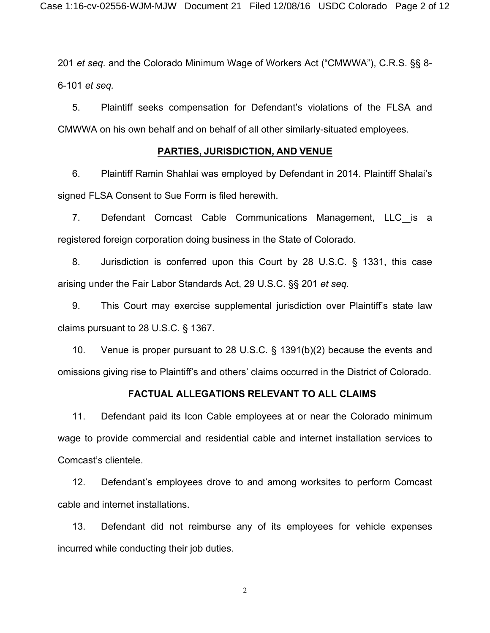201 *et seq.* and the Colorado Minimum Wage of Workers Act ("CMWWA"), C.R.S. §§ 8- 6-101 *et seq.*

5. Plaintiff seeks compensation for Defendant's violations of the FLSA and CMWWA on his own behalf and on behalf of all other similarly-situated employees.

#### **PARTIES, JURISDICTION, AND VENUE**

6. Plaintiff Ramin Shahlai was employed by Defendant in 2014. Plaintiff Shalai's signed FLSA Consent to Sue Form is filed herewith.

7. Defendant Comcast Cable Communications Management, LLC is a registered foreign corporation doing business in the State of Colorado.

8. Jurisdiction is conferred upon this Court by 28 U.S.C. § 1331, this case arising under the Fair Labor Standards Act, 29 U.S.C. §§ 201 *et seq.*

9. This Court may exercise supplemental jurisdiction over Plaintiff's state law claims pursuant to 28 U.S.C. § 1367.

10. Venue is proper pursuant to 28 U.S.C. § 1391(b)(2) because the events and omissions giving rise to Plaintiff's and others' claims occurred in the District of Colorado.

#### **FACTUAL ALLEGATIONS RELEVANT TO ALL CLAIMS**

11. Defendant paid its Icon Cable employees at or near the Colorado minimum wage to provide commercial and residential cable and internet installation services to Comcast's clientele.

12. Defendant's employees drove to and among worksites to perform Comcast cable and internet installations.

13. Defendant did not reimburse any of its employees for vehicle expenses incurred while conducting their job duties.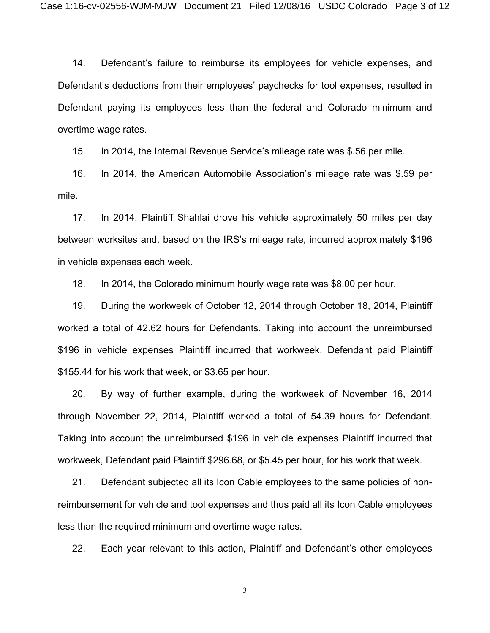14. Defendant's failure to reimburse its employees for vehicle expenses, and Defendant's deductions from their employees' paychecks for tool expenses, resulted in Defendant paying its employees less than the federal and Colorado minimum and overtime wage rates.

15. In 2014, the Internal Revenue Service's mileage rate was \$.56 per mile.

16. In 2014, the American Automobile Association's mileage rate was \$.59 per mile.

17. In 2014, Plaintiff Shahlai drove his vehicle approximately 50 miles per day between worksites and, based on the IRS's mileage rate, incurred approximately \$196 in vehicle expenses each week.

18. In 2014, the Colorado minimum hourly wage rate was \$8.00 per hour.

19. During the workweek of October 12, 2014 through October 18, 2014, Plaintiff worked a total of 42.62 hours for Defendants. Taking into account the unreimbursed \$196 in vehicle expenses Plaintiff incurred that workweek, Defendant paid Plaintiff \$155.44 for his work that week, or \$3.65 per hour.

20. By way of further example, during the workweek of November 16, 2014 through November 22, 2014, Plaintiff worked a total of 54.39 hours for Defendant. Taking into account the unreimbursed \$196 in vehicle expenses Plaintiff incurred that workweek, Defendant paid Plaintiff \$296.68, or \$5.45 per hour, for his work that week.

21. Defendant subjected all its Icon Cable employees to the same policies of nonreimbursement for vehicle and tool expenses and thus paid all its Icon Cable employees less than the required minimum and overtime wage rates.

22. Each year relevant to this action, Plaintiff and Defendant's other employees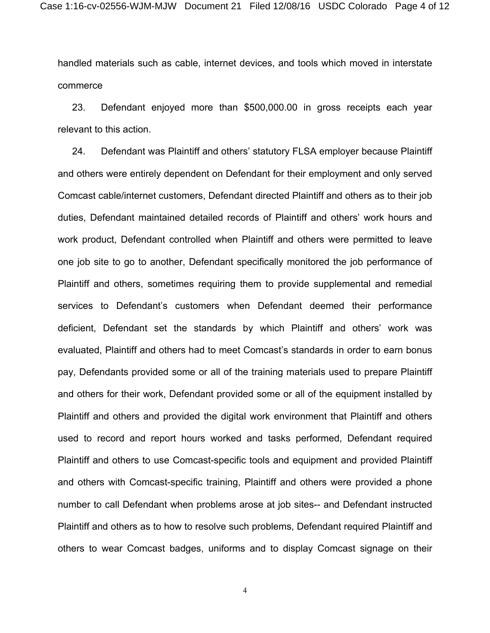handled materials such as cable, internet devices, and tools which moved in interstate commerce

23. Defendant enjoyed more than \$500,000.00 in gross receipts each year relevant to this action.

24. Defendant was Plaintiff and others' statutory FLSA employer because Plaintiff and others were entirely dependent on Defendant for their employment and only served Comcast cable/internet customers, Defendant directed Plaintiff and others as to their job duties, Defendant maintained detailed records of Plaintiff and others' work hours and work product, Defendant controlled when Plaintiff and others were permitted to leave one job site to go to another, Defendant specifically monitored the job performance of Plaintiff and others, sometimes requiring them to provide supplemental and remedial services to Defendant's customers when Defendant deemed their performance deficient, Defendant set the standards by which Plaintiff and others' work was evaluated, Plaintiff and others had to meet Comcast's standards in order to earn bonus pay, Defendants provided some or all of the training materials used to prepare Plaintiff and others for their work, Defendant provided some or all of the equipment installed by Plaintiff and others and provided the digital work environment that Plaintiff and others used to record and report hours worked and tasks performed, Defendant required Plaintiff and others to use Comcast-specific tools and equipment and provided Plaintiff and others with Comcast-specific training, Plaintiff and others were provided a phone number to call Defendant when problems arose at job sites-- and Defendant instructed Plaintiff and others as to how to resolve such problems, Defendant required Plaintiff and others to wear Comcast badges, uniforms and to display Comcast signage on their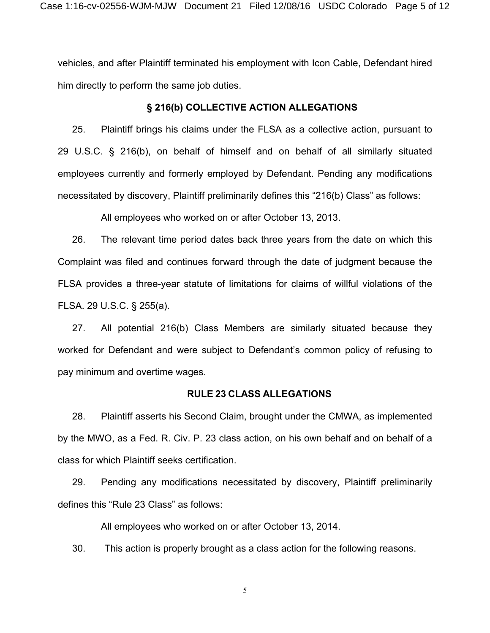vehicles, and after Plaintiff terminated his employment with Icon Cable, Defendant hired him directly to perform the same job duties.

#### **§ 216(b) COLLECTIVE ACTION ALLEGATIONS**

25. Plaintiff brings his claims under the FLSA as a collective action, pursuant to 29 U.S.C. § 216(b), on behalf of himself and on behalf of all similarly situated employees currently and formerly employed by Defendant. Pending any modifications necessitated by discovery, Plaintiff preliminarily defines this "216(b) Class" as follows:

All employees who worked on or after October 13, 2013.

26. The relevant time period dates back three years from the date on which this Complaint was filed and continues forward through the date of judgment because the FLSA provides a three-year statute of limitations for claims of willful violations of the FLSA. 29 U.S.C. § 255(a).

27. All potential 216(b) Class Members are similarly situated because they worked for Defendant and were subject to Defendant's common policy of refusing to pay minimum and overtime wages.

#### **RULE 23 CLASS ALLEGATIONS**

28. Plaintiff asserts his Second Claim, brought under the CMWA, as implemented by the MWO, as a Fed. R. Civ. P. 23 class action, on his own behalf and on behalf of a class for which Plaintiff seeks certification.

29. Pending any modifications necessitated by discovery, Plaintiff preliminarily defines this "Rule 23 Class" as follows:

All employees who worked on or after October 13, 2014.

30. This action is properly brought as a class action for the following reasons.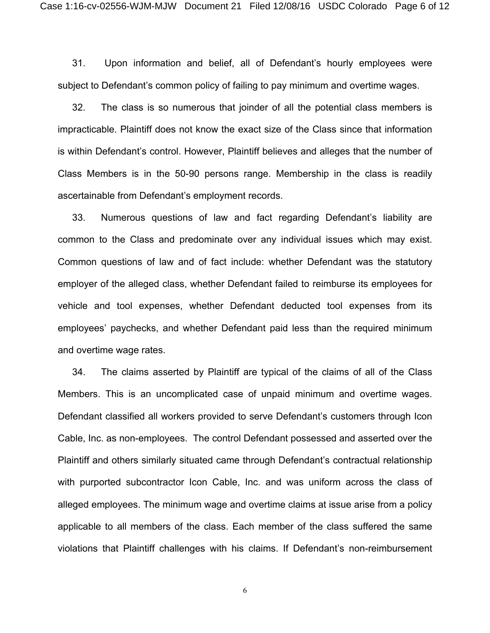31. Upon information and belief, all of Defendant's hourly employees were subject to Defendant's common policy of failing to pay minimum and overtime wages.

32. The class is so numerous that joinder of all the potential class members is impracticable. Plaintiff does not know the exact size of the Class since that information is within Defendant's control. However, Plaintiff believes and alleges that the number of Class Members is in the 50-90 persons range. Membership in the class is readily ascertainable from Defendant's employment records.

33. Numerous questions of law and fact regarding Defendant's liability are common to the Class and predominate over any individual issues which may exist. Common questions of law and of fact include: whether Defendant was the statutory employer of the alleged class, whether Defendant failed to reimburse its employees for vehicle and tool expenses, whether Defendant deducted tool expenses from its employees' paychecks, and whether Defendant paid less than the required minimum and overtime wage rates.

34. The claims asserted by Plaintiff are typical of the claims of all of the Class Members. This is an uncomplicated case of unpaid minimum and overtime wages. Defendant classified all workers provided to serve Defendant's customers through Icon Cable, Inc. as non-employees. The control Defendant possessed and asserted over the Plaintiff and others similarly situated came through Defendant's contractual relationship with purported subcontractor Icon Cable, Inc. and was uniform across the class of alleged employees. The minimum wage and overtime claims at issue arise from a policy applicable to all members of the class. Each member of the class suffered the same violations that Plaintiff challenges with his claims. If Defendant's non-reimbursement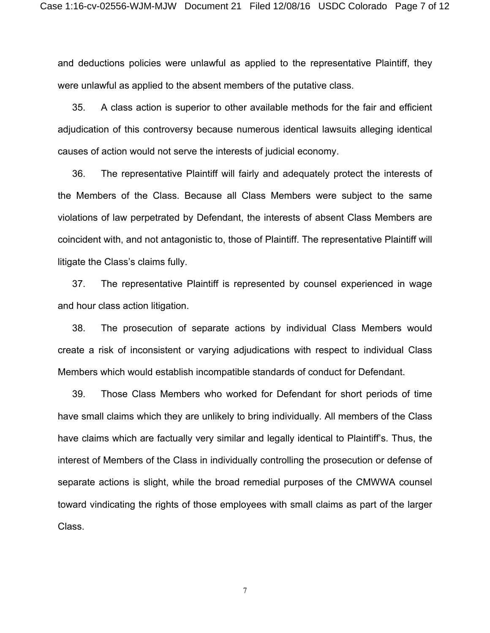and deductions policies were unlawful as applied to the representative Plaintiff, they were unlawful as applied to the absent members of the putative class.

35. A class action is superior to other available methods for the fair and efficient adjudication of this controversy because numerous identical lawsuits alleging identical causes of action would not serve the interests of judicial economy.

36. The representative Plaintiff will fairly and adequately protect the interests of the Members of the Class. Because all Class Members were subject to the same violations of law perpetrated by Defendant, the interests of absent Class Members are coincident with, and not antagonistic to, those of Plaintiff. The representative Plaintiff will litigate the Class's claims fully.

37. The representative Plaintiff is represented by counsel experienced in wage and hour class action litigation.

38. The prosecution of separate actions by individual Class Members would create a risk of inconsistent or varying adjudications with respect to individual Class Members which would establish incompatible standards of conduct for Defendant.

39. Those Class Members who worked for Defendant for short periods of time have small claims which they are unlikely to bring individually. All members of the Class have claims which are factually very similar and legally identical to Plaintiff's. Thus, the interest of Members of the Class in individually controlling the prosecution or defense of separate actions is slight, while the broad remedial purposes of the CMWWA counsel toward vindicating the rights of those employees with small claims as part of the larger Class.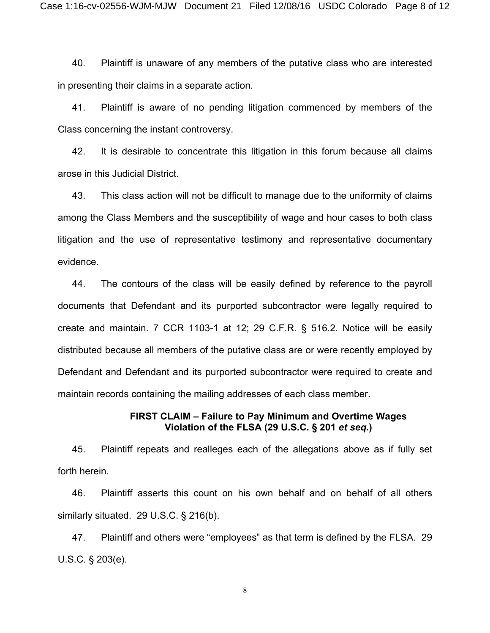40. Plaintiff is unaware of any members of the putative class who are interested in presenting their claims in a separate action.

41. Plaintiff is aware of no pending litigation commenced by members of the Class concerning the instant controversy.

42. It is desirable to concentrate this litigation in this forum because all claims arose in this Judicial District.

43. This class action will not be difficult to manage due to the uniformity of claims among the Class Members and the susceptibility of wage and hour cases to both class litigation and the use of representative testimony and representative documentary evidence.

44. The contours of the class will be easily defined by reference to the payroll documents that Defendant and its purported subcontractor were legally required to create and maintain. 7 CCR 1103-1 at 12; 29 C.F.R. § 516.2. Notice will be easily distributed because all members of the putative class are or were recently employed by Defendant and Defendant and its purported subcontractor were required to create and maintain records containing the mailing addresses of each class member.

### **FIRST CLAIM – Failure to Pay Minimum and Overtime Wages Violation of the FLSA (29 U.S.C. § 201** *et seq.***)**

45. Plaintiff repeats and realleges each of the allegations above as if fully set forth herein.

46. Plaintiff asserts this count on his own behalf and on behalf of all others similarly situated. 29 U.S.C. § 216(b).

47. Plaintiff and others were "employees" as that term is defined by the FLSA. 29 U.S.C. § 203(e).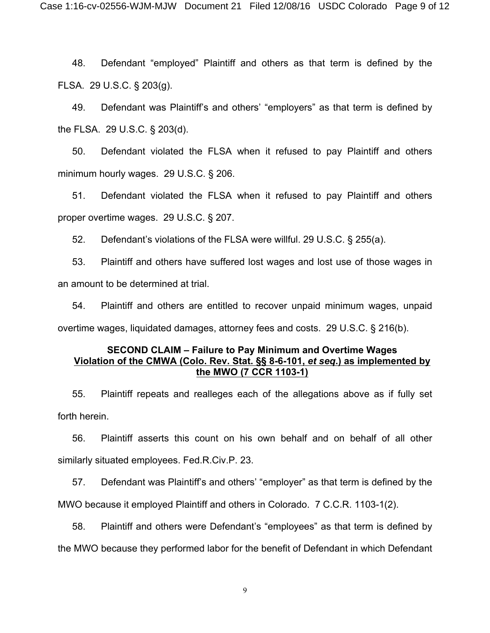48. Defendant "employed" Plaintiff and others as that term is defined by the FLSA. 29 U.S.C. § 203(g).

49. Defendant was Plaintiff's and others' "employers" as that term is defined by the FLSA. 29 U.S.C. § 203(d).

50. Defendant violated the FLSA when it refused to pay Plaintiff and others minimum hourly wages. 29 U.S.C. § 206.

51. Defendant violated the FLSA when it refused to pay Plaintiff and others proper overtime wages. 29 U.S.C. § 207.

52. Defendant's violations of the FLSA were willful. 29 U.S.C. § 255(a).

53. Plaintiff and others have suffered lost wages and lost use of those wages in an amount to be determined at trial.

54. Plaintiff and others are entitled to recover unpaid minimum wages, unpaid overtime wages, liquidated damages, attorney fees and costs. 29 U.S.C. § 216(b).

## **SECOND CLAIM – Failure to Pay Minimum and Overtime Wages Violation of the CMWA (Colo. Rev. Stat. §§ 8-6-101,** *et seq***.) as implemented by the MWO (7 CCR 1103-1)**

55. Plaintiff repeats and realleges each of the allegations above as if fully set forth herein.

56. Plaintiff asserts this count on his own behalf and on behalf of all other similarly situated employees. Fed.R.Civ.P. 23.

57. Defendant was Plaintiff's and others' "employer" as that term is defined by the MWO because it employed Plaintiff and others in Colorado. 7 C.C.R. 1103-1(2).

58. Plaintiff and others were Defendant's "employees" as that term is defined by the MWO because they performed labor for the benefit of Defendant in which Defendant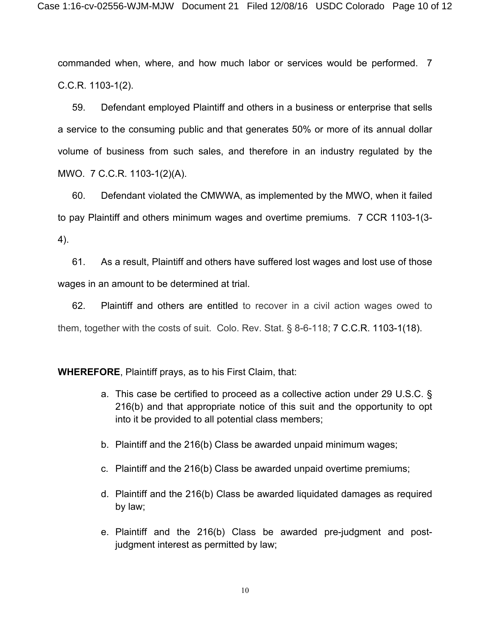commanded when, where, and how much labor or services would be performed. 7 C.C.R. 1103-1(2).

59. Defendant employed Plaintiff and others in a business or enterprise that sells a service to the consuming public and that generates 50% or more of its annual dollar volume of business from such sales, and therefore in an industry regulated by the MWO. 7 C.C.R. 1103-1(2)(A).

60. Defendant violated the CMWWA, as implemented by the MWO, when it failed to pay Plaintiff and others minimum wages and overtime premiums. 7 CCR 1103-1(3- 4).

61. As a result, Plaintiff and others have suffered lost wages and lost use of those wages in an amount to be determined at trial.

62. Plaintiff and others are entitled to recover in a civil action wages owed to them, together with the costs of suit. Colo. Rev. Stat. § 8-6-118; 7 C.C.R. 1103-1(18).

**WHEREFORE**, Plaintiff prays, as to his First Claim, that:

- a. This case be certified to proceed as a collective action under 29 U.S.C. § 216(b) and that appropriate notice of this suit and the opportunity to opt into it be provided to all potential class members;
- b. Plaintiff and the 216(b) Class be awarded unpaid minimum wages;
- c. Plaintiff and the 216(b) Class be awarded unpaid overtime premiums;
- d. Plaintiff and the 216(b) Class be awarded liquidated damages as required by law;
- e. Plaintiff and the 216(b) Class be awarded pre-judgment and postjudgment interest as permitted by law;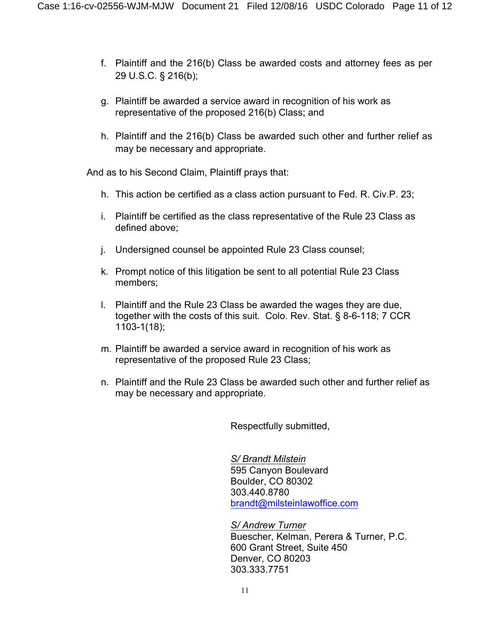- f. Plaintiff and the 216(b) Class be awarded costs and attorney fees as per 29 U.S.C. § 216(b);
- g. Plaintiff be awarded a service award in recognition of his work as representative of the proposed 216(b) Class; and
- h. Plaintiff and the 216(b) Class be awarded such other and further relief as may be necessary and appropriate.

And as to his Second Claim, Plaintiff prays that:

- h. This action be certified as a class action pursuant to Fed. R. Civ.P. 23;
- i. Plaintiff be certified as the class representative of the Rule 23 Class as defined above;
- j. Undersigned counsel be appointed Rule 23 Class counsel;
- k. Prompt notice of this litigation be sent to all potential Rule 23 Class members;
- l. Plaintiff and the Rule 23 Class be awarded the wages they are due, together with the costs of this suit. Colo. Rev. Stat. § 8-6-118; 7 CCR 1103-1(18);
- m. Plaintiff be awarded a service award in recognition of his work as representative of the proposed Rule 23 Class;
- n. Plaintiff and the Rule 23 Class be awarded such other and further relief as may be necessary and appropriate.

Respectfully submitted,

*S/ Brandt Milstein*  595 Canyon Boulevard Boulder, CO 80302 303.440.8780 [brandt@milsteinlawoffice.com](mailto:brandt@milsteinlawoffice.com)

*S/ Andrew Turner* Buescher, Kelman, Perera & Turner, P.C. 600 Grant Street, Suite 450 Denver, CO 80203 303.333.7751